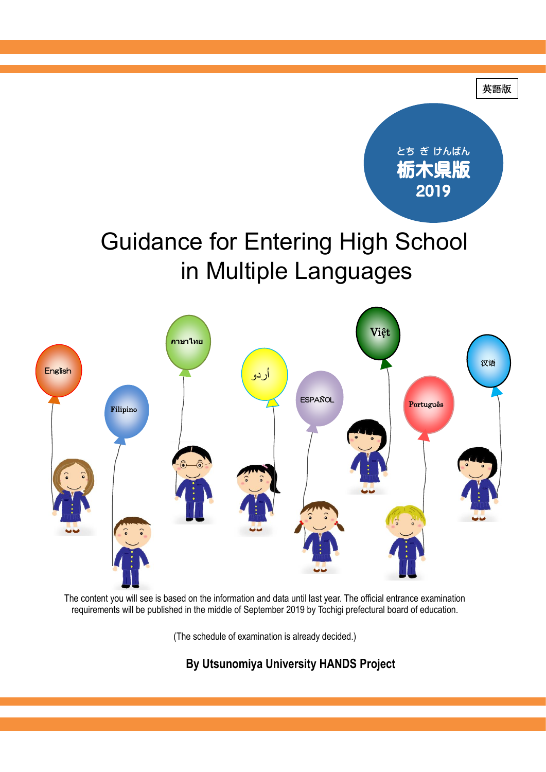

The content you will see is based on the information and data until last year. The official entrance examination requirements will be published in the middle of September 2019 by Tochigi prefectural board of education.

(The schedule of examination is already decided.)

**By Utsunomiya University HANDS Project**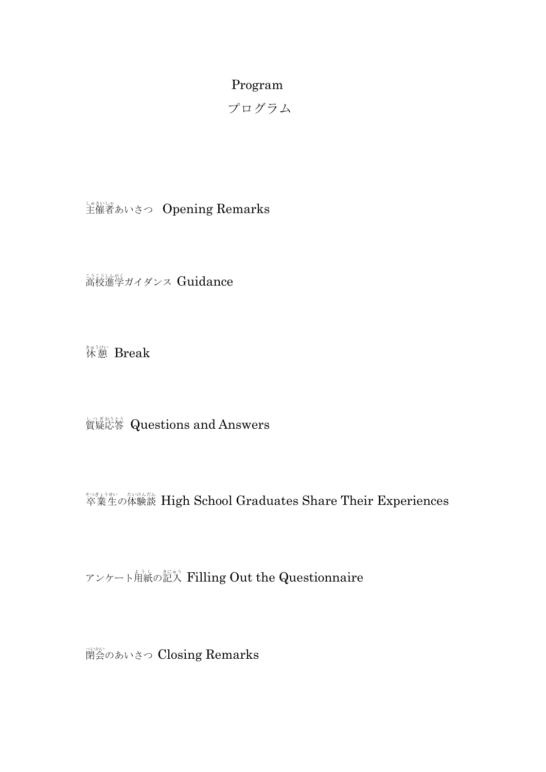#### Program

プログラム

・・・。<br>主催者あいさつ Opening Remarks

<u>濤</u><遂<br>着校進学ガイダンス Guidance

*、*<br>休憩 Break

**資疑於答** Questions and Answers

<sup>を参考性</sup>の体験談 High School Graduates Share Their Experiences

アンケート角紙の記入 Filling Out the Questionnaire

<sup>激</sup>めあいさつ Closing Remarks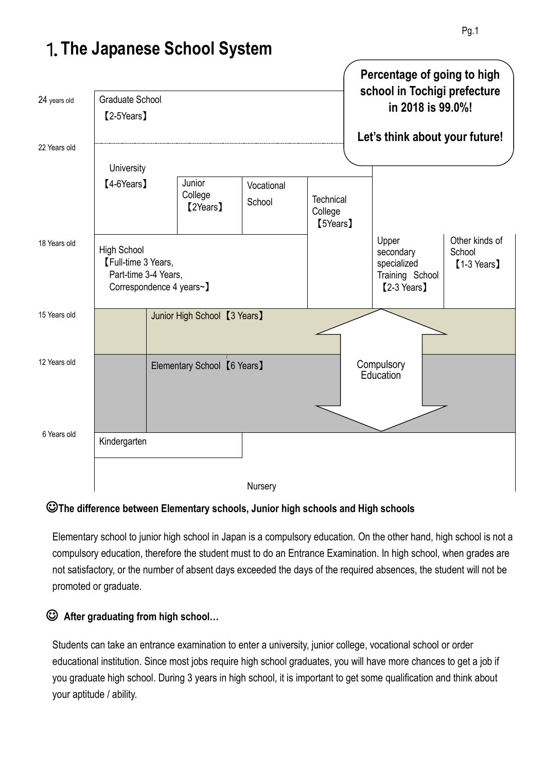

## 1.**The Japanese School System**

### ☺**The difference between Elementary schools, Junior high schools and High schools**

Elementary school to junior high school in Japan is a compulsory education. On the other hand, high school is not a compulsory education, therefore the student must to do an Entrance Examination. In high school, when grades are not satisfactory, or the number of absent days exceeded the days of the required absences, the student will not be promoted or graduate.

## ☺ **After graduating from high school…**

Students can take an entrance examination to enter a university, junior college, vocational school or order educational institution. Since most jobs require high school graduates, you will have more chances to get a job if you graduate high school. During 3 years in high school, it is important to get some qualification and think about your aptitude / ability.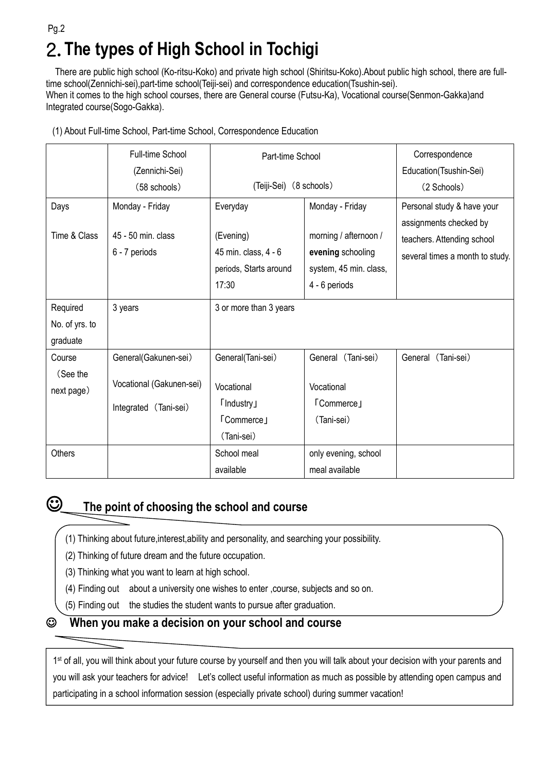## 2.**The types of High School in Tochigi**  Pg.2

There are public high school (Ko-ritsu-Koko) and private high school (Shiritsu-Koko).About public high school, there are fulltime school(Zennichi-sei),part-time school(Teiji-sei) and correspondence education(Tsushin-sei). When it comes to the high school courses, there are General course (Futsu-Ka), Vocational course(Senmon-Gakka)and Integrated course(Sogo-Gakka).

|  | (1) About Full-time School, Part-time School, Correspondence Education |  |
|--|------------------------------------------------------------------------|--|
|  |                                                                        |  |

|                                        | Full-time School<br>(Zennichi-Sei)                                        | Part-time School                                                                       |                                                                                                          | Correspondence<br>Education(Tsushin-Sei)                                                                              |
|----------------------------------------|---------------------------------------------------------------------------|----------------------------------------------------------------------------------------|----------------------------------------------------------------------------------------------------------|-----------------------------------------------------------------------------------------------------------------------|
|                                        | (58 schools)                                                              | (Teiji-Sei) (8 schools)                                                                |                                                                                                          | (2 Schools)                                                                                                           |
| Days<br>Time & Class                   | Monday - Friday<br>45 - 50 min. class<br>6 - 7 periods                    | Everyday<br>(Evening)<br>45 min. class, 4 - 6<br>periods, Starts around<br>17:30       | Monday - Friday<br>morning / afternoon /<br>evening schooling<br>system, 45 min. class,<br>4 - 6 periods | Personal study & have your<br>assignments checked by<br>teachers. Attending school<br>several times a month to study. |
| Required<br>No. of yrs. to<br>graduate | 3 years                                                                   | 3 or more than 3 years                                                                 |                                                                                                          |                                                                                                                       |
| Course<br>(See the<br>next page)       | General(Gakunen-sei)<br>Vocational (Gakunen-sei)<br>Integrated (Tani-sei) | General(Tani-sei)<br>Vocational<br><b>T</b> Industry<br><b>TCommerce</b><br>(Tani-sei) | General (Tani-sei)<br>Vocational<br><b>「Commerce」</b><br>(Tani-sei)                                      | General (Tani-sei)                                                                                                    |
| <b>Others</b>                          |                                                                           | School meal<br>available                                                               | only evening, school<br>meal available                                                                   |                                                                                                                       |



 $\mathbf{L}$ 

## ☺ **The point of choosing the school and course**

- (1) Thinking about future,interest,ability and personality, and searching your possibility.
- (2) Thinking of future dream and the future occupation.
- (3) Thinking what you want to learn at high school.
- (4) Finding out about a university one wishes to enter ,course, subjects and so on.
- (5) Finding out the studies the student wants to pursue after graduation.

#### ☺ **When you make a decision on your school and course**

1<sup>st</sup> of all, you will think about your future course by yourself and then you will talk about your decision with your parents and you will ask your teachers for advice! Let's collect useful information as much as possible by attending open campus and participating in a school information session (especially private school) during summer vacation!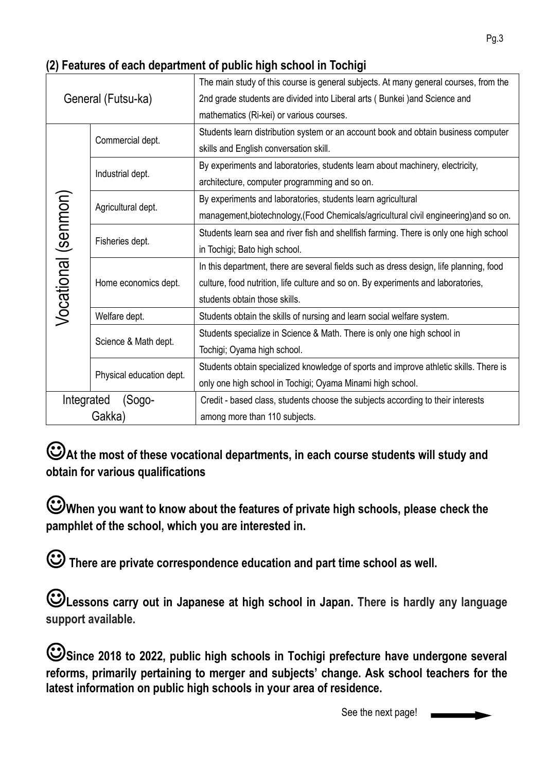| General (Futsu-ka)                        |                      | The main study of this course is general subjects. At many general courses, from the   |  |  |
|-------------------------------------------|----------------------|----------------------------------------------------------------------------------------|--|--|
|                                           |                      | 2nd grade students are divided into Liberal arts (Bunkei) and Science and              |  |  |
|                                           |                      | mathematics (Ri-kei) or various courses.                                               |  |  |
| Commercial dept.                          |                      | Students learn distribution system or an account book and obtain business computer     |  |  |
|                                           |                      | skills and English conversation skill.                                                 |  |  |
|                                           |                      | By experiments and laboratories, students learn about machinery, electricity,          |  |  |
| Industrial dept.                          |                      | architecture, computer programming and so on.                                          |  |  |
| Vocational (senmon)<br>Agricultural dept. |                      | By experiments and laboratories, students learn agricultural                           |  |  |
|                                           |                      | management, biotechnology, (Food Chemicals/agricultural civil engineering) and so on.  |  |  |
|                                           |                      | Students learn sea and river fish and shellfish farming. There is only one high school |  |  |
| Fisheries dept.                           |                      | in Tochigi; Bato high school.                                                          |  |  |
|                                           |                      | In this department, there are several fields such as dress design, life planning, food |  |  |
|                                           | Home economics dept. | culture, food nutrition, life culture and so on. By experiments and laboratories,      |  |  |
|                                           |                      | students obtain those skills.                                                          |  |  |
|                                           | Welfare dept.        | Students obtain the skills of nursing and learn social welfare system.                 |  |  |
| Science & Math dept.                      |                      | Students specialize in Science & Math. There is only one high school in                |  |  |
|                                           |                      | Tochigi; Oyama high school.                                                            |  |  |
| Physical education dept.                  |                      | Students obtain specialized knowledge of sports and improve athletic skills. There is  |  |  |
|                                           |                      | only one high school in Tochigi; Oyama Minami high school.                             |  |  |
| Integrated                                | (Sogo-               | Credit - based class, students choose the subjects according to their interests        |  |  |
| Gakka)                                    |                      | among more than 110 subjects.                                                          |  |  |

☺**At the most of these vocational departments, in each course students will study and obtain for various qualifications**

☺**When you want to know about the features of private high schools, please check the pamphlet of the school, which you are interested in.** 

☺**There are private correspondence education and part time school as well.** 

☺**Lessons carry out in Japanese at high school in Japan. There is hardly any language support available.**

☺**Since 2018 to 2022, public high schools in Tochigi prefecture have undergone several reforms, primarily pertaining to merger and subjects' change. Ask school teachers for the latest information on public high schools in your area of residence.**

See the next page!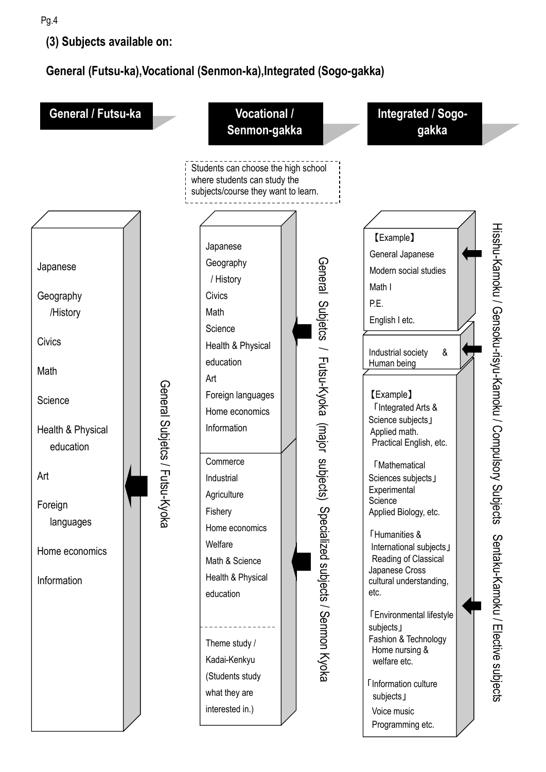**(3) Subjects available on:** 

**General (Futsu-ka),Vocational (Senmon-ka),Integrated (Sogo-gakka)**

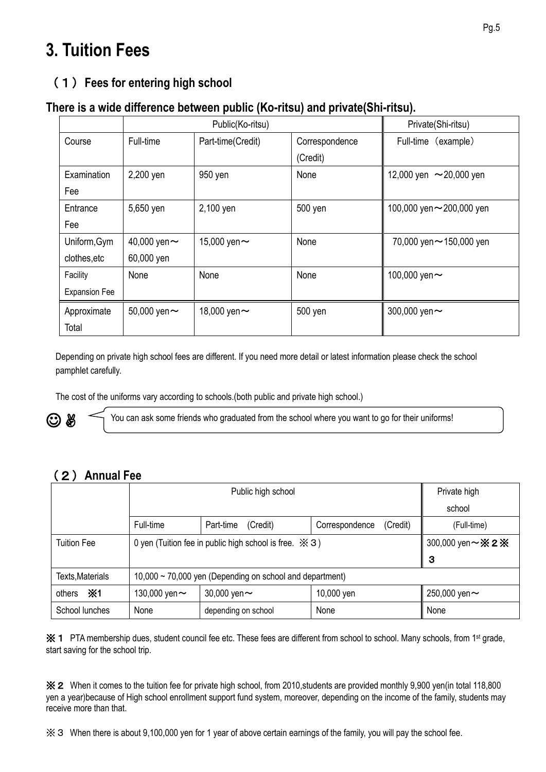# **3. Tuition Fees**

## (1)**Fees for entering high school**

#### **There is a wide difference between public (Ko-ritsu) and private(Shi-ritsu).**

|                      | Public(Ko-ritsu)  |                   |                | Private(Shi-ritsu)        |
|----------------------|-------------------|-------------------|----------------|---------------------------|
| Course               | Full-time         | Part-time(Credit) | Correspondence | Full-time<br>(example)    |
|                      |                   |                   | (Credit)       |                           |
| Examination          | 2,200 yen         | 950 yen           | None           | 12,000 yen ~20,000 yen    |
| Fee                  |                   |                   |                |                           |
| Entrance             | 5,650 yen         | 2,100 yen         | 500 yen        | 100,000 yen ~ 200,000 yen |
| Fee                  |                   |                   |                |                           |
| Uniform, Gym         | 40,000 yen $\sim$ | 15,000 yen ~      | None           | 70,000 yen ~ 150,000 yen  |
| clothes, etc         | 60,000 yen        |                   |                |                           |
| Facility             | None              | None              | None           | 100,000 yen $\sim$        |
| <b>Expansion Fee</b> |                   |                   |                |                           |
| Approximate          | 50,000 yen $\sim$ | 18,000 yen ~      | 500 yen        | 300,000 yen ~             |
| Total                |                   |                   |                |                           |

Depending on private high school fees are different. If you need more detail or latest information please check the school pamphlet carefully.

The cost of the uniforms vary according to schools.(both public and private high school.)



You can ask some friends who graduated from the school where you want to go for their uniforms!

## (2)**Annual Fee**

|                     | Public high school                                                    |                       |                            | Private high        |
|---------------------|-----------------------------------------------------------------------|-----------------------|----------------------------|---------------------|
|                     |                                                                       |                       |                            | school              |
|                     | Full-time                                                             | Part-time<br>(Credit) | (Credit)<br>Correspondence | (Full-time)         |
| <b>Tuition Fee</b>  | 0 yen (Tuition fee in public high school is free. $\divideontimes$ 3) |                       |                            | 300,000 yen ~ X 2 X |
|                     |                                                                       |                       |                            | 3                   |
| Texts, Materials    | $10,000 \sim 70,000$ yen (Depending on school and department)         |                       |                            |                     |
| <b>※1</b><br>others | 130,000 yen ~                                                         | 30,000 yen $\sim$     | 10,000 yen                 | 250,000 yen $\sim$  |
| School lunches      | None                                                                  | depending on school   | None                       | None                |

※1 PTA membership dues, student council fee etc. These fees are different from school to school. Many schools, from 1st grade, start saving for the school trip.

※2 When it comes to the tuition fee for private high school, from 2010,students are provided monthly 9,900 yen(in total 118,800 yen a year)because of High school enrollment support fund system, moreover, depending on the income of the family, students may receive more than that.

※3 When there is about 9,100,000 yen for 1 year of above certain earnings of the family, you will pay the school fee.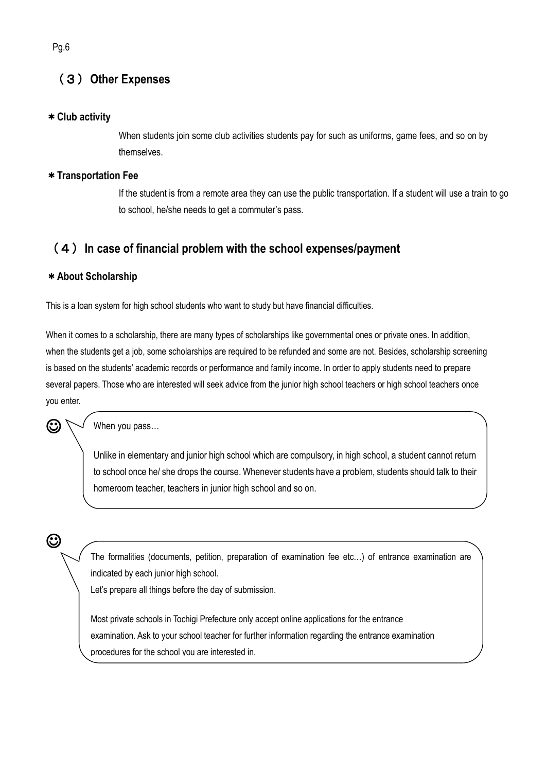## (3)**Other Expenses**

#### \***Club activity Fee**

When students join some club activities students pay for such as uniforms, game fees, and so on by themselves.

#### \***Transportation Fee**

If the student is from a remote area they can use the public transportation. If a student will use a train to go to school, he/she needs to get a commuter's pass.

### (4)**In case of financial problem with the school expenses/payment**

#### \***About Scholarship**

This is a loan system for high school students who want to study but have financial difficulties.

When it comes to a scholarship, there are many types of scholarships like governmental ones or private ones. In addition, when the students get a job, some scholarships are required to be refunded and some are not. Besides, scholarship screening is based on the students' academic records or performance and family income. In order to apply students need to prepare several papers. Those who are interested will seek advice from the junior high school teachers or high school teachers once you enter.

When you pass…

Unlike in elementary and junior high school which are compulsory, in high school, a student cannot return to school once he/ she drops the course. Whenever students have a problem, students should talk to their homeroom teacher, teachers in junior high school and so on.

☺

 $\mathbf G$ 

The formalities (documents, petition, preparation of examination fee etc…) of entrance examination are indicated by each junior high school.

Let's prepare all things before the day of submission.

Most private schools in Tochigi Prefecture only accept online applications for the entrance examination. Ask to your school teacher for further information regarding the entrance examination procedures for the school you are interested in.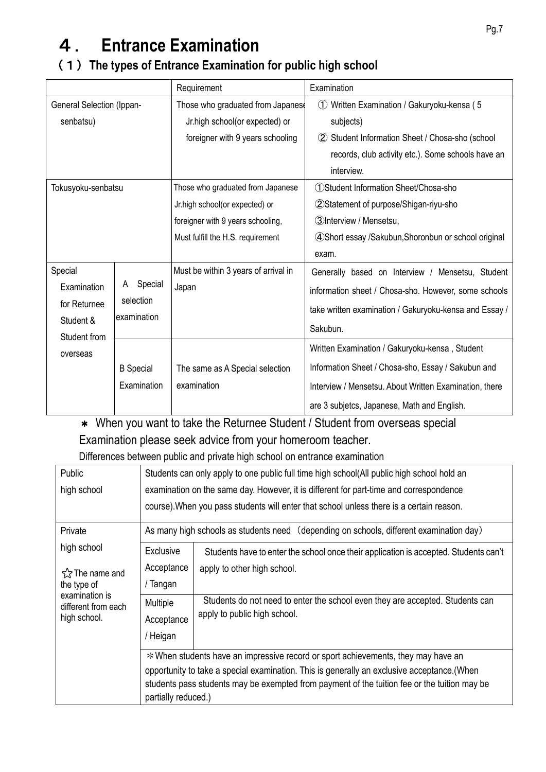# 4. **Entrance Examination**

#### (1)**The types of Entrance Examination for public high school**

|                                  |                          | Requirement                          | Examination                                            |
|----------------------------------|--------------------------|--------------------------------------|--------------------------------------------------------|
| <b>General Selection (Ippan-</b> |                          | Those who graduated from Japanese    | Written Examination / Gakuryoku-kensa (5<br>(1)        |
| senbatsu)                        |                          | Jr.high school(or expected) or       | subjects)                                              |
|                                  |                          | foreigner with 9 years schooling     | Student Information Sheet / Chosa-sho (school          |
|                                  |                          |                                      | records, club activity etc.). Some schools have an     |
|                                  |                          |                                      | interview.                                             |
| Tokusyoku-senbatsu               |                          | Those who graduated from Japanese    | 1) Student Information Sheet/Chosa-sho                 |
|                                  |                          | Jr.high school(or expected) or       | 2 Statement of purpose/Shigan-riyu-sho                 |
|                                  |                          | foreigner with 9 years schooling,    | 3) Interview / Mensetsu,                               |
|                                  |                          | Must fulfill the H.S. requirement    | 4 Short essay / Sakubun, Shoronbun or school original  |
|                                  |                          |                                      | exam.                                                  |
| Special                          |                          | Must be within 3 years of arrival in | Generally based on Interview / Mensetsu, Student       |
| Examination                      | Special                  | Japan                                | information sheet / Chosa-sho. However, some schools   |
| for Returnee                     | selection<br>examination |                                      | take written examination / Gakuryoku-kensa and Essay / |
| Student &<br>Student from        |                          |                                      | Sakubun.                                               |
| overseas                         |                          |                                      | Written Examination / Gakuryoku-kensa, Student         |
|                                  | <b>B</b> Special         | The same as A Special selection      | Information Sheet / Chosa-sho, Essay / Sakubun and     |
|                                  | Examination              | examination                          | Interview / Mensetsu. About Written Examination, there |
|                                  |                          |                                      | are 3 subjetcs, Japanese, Math and English.            |

\* When you want to take the Returnee Student / Student from overseas special Examination please seek advice from your homeroom teacher.

Differences between public and private high school on entrance examination

| Public                                                                                                              | Students can only apply to one public full time high school(All public high school hold an  |                                                                                         |  |  |
|---------------------------------------------------------------------------------------------------------------------|---------------------------------------------------------------------------------------------|-----------------------------------------------------------------------------------------|--|--|
| high school                                                                                                         | examination on the same day. However, it is different for part-time and correspondence      |                                                                                         |  |  |
|                                                                                                                     | course). When you pass students will enter that school unless there is a certain reason.    |                                                                                         |  |  |
| Private                                                                                                             |                                                                                             | As many high schools as students need (depending on schools, different examination day) |  |  |
| high school                                                                                                         | <b>Exclusive</b>                                                                            | Students have to enter the school once their application is accepted. Students can't    |  |  |
| tx The name and                                                                                                     | Acceptance                                                                                  | apply to other high school.                                                             |  |  |
| the type of                                                                                                         | / Tangan                                                                                    |                                                                                         |  |  |
| examination is<br>different from each                                                                               | Multiple                                                                                    | Students do not need to enter the school even they are accepted. Students can           |  |  |
| high school.                                                                                                        | Acceptance                                                                                  | apply to public high school.                                                            |  |  |
|                                                                                                                     | / Heigan                                                                                    |                                                                                         |  |  |
|                                                                                                                     | * When students have an impressive record or sport achievements, they may have an           |                                                                                         |  |  |
|                                                                                                                     | opportunity to take a special examination. This is generally an exclusive acceptance. (When |                                                                                         |  |  |
| students pass students may be exempted from payment of the tuition fee or the tuition may be<br>partially reduced.) |                                                                                             |                                                                                         |  |  |